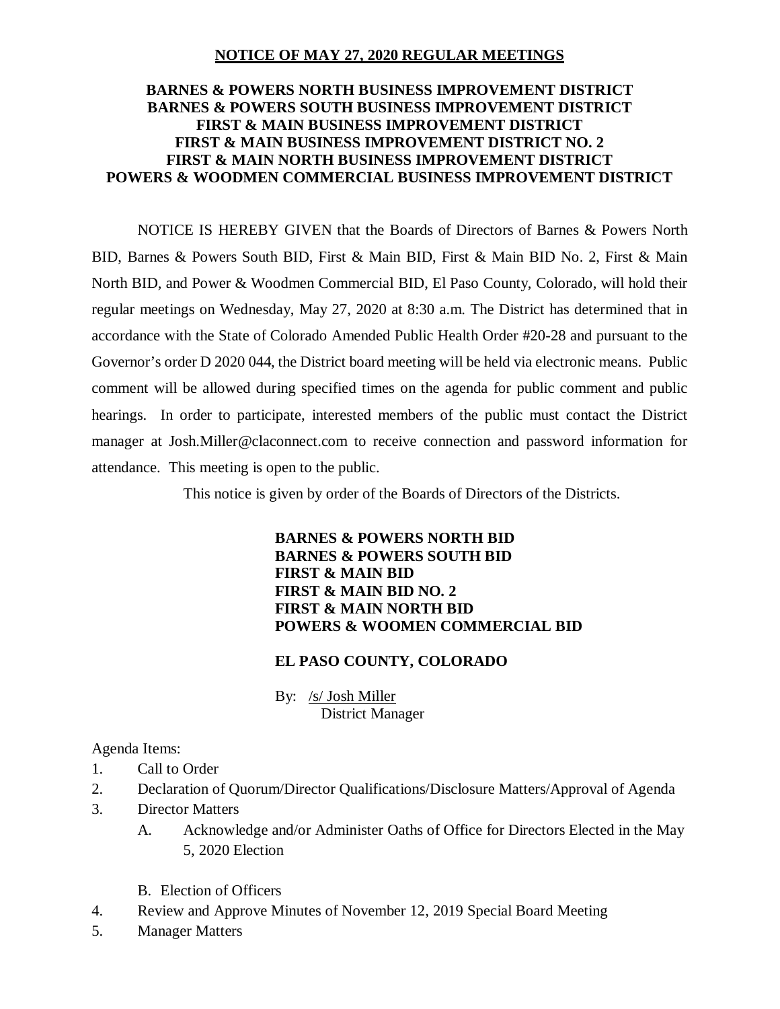### **NOTICE OF MAY 27, 2020 REGULAR MEETINGS**

## **BARNES & POWERS NORTH BUSINESS IMPROVEMENT DISTRICT BARNES & POWERS SOUTH BUSINESS IMPROVEMENT DISTRICT FIRST & MAIN BUSINESS IMPROVEMENT DISTRICT FIRST & MAIN BUSINESS IMPROVEMENT DISTRICT NO. 2 FIRST & MAIN NORTH BUSINESS IMPROVEMENT DISTRICT POWERS & WOODMEN COMMERCIAL BUSINESS IMPROVEMENT DISTRICT**

NOTICE IS HEREBY GIVEN that the Boards of Directors of Barnes & Powers North BID, Barnes & Powers South BID, First & Main BID, First & Main BID No. 2, First & Main North BID, and Power & Woodmen Commercial BID, El Paso County, Colorado, will hold their regular meetings on Wednesday, May 27, 2020 at 8:30 a.m. The District has determined that in accordance with the State of Colorado Amended Public Health Order #20-28 and pursuant to the Governor's order D 2020 044, the District board meeting will be held via electronic means. Public comment will be allowed during specified times on the agenda for public comment and public hearings. In order to participate, interested members of the public must contact the District manager at Josh.Miller@claconnect.com to receive connection and password information for attendance. This meeting is open to the public.

This notice is given by order of the Boards of Directors of the Districts.

### **BARNES & POWERS NORTH BID BARNES & POWERS SOUTH BID FIRST & MAIN BID FIRST & MAIN BID NO. 2 FIRST & MAIN NORTH BID POWERS & WOOMEN COMMERCIAL BID**

# **EL PASO COUNTY, COLORADO**

By: /s/ Josh Miller District Manager

### Agenda Items:

- 1. Call to Order
- 2. Declaration of Quorum/Director Qualifications/Disclosure Matters/Approval of Agenda
- 3. Director Matters
	- A. Acknowledge and/or Administer Oaths of Office for Directors Elected in the May 5, 2020 Election
	- B. Election of Officers
- 4. Review and Approve Minutes of November 12, 2019 Special Board Meeting
- 5. Manager Matters